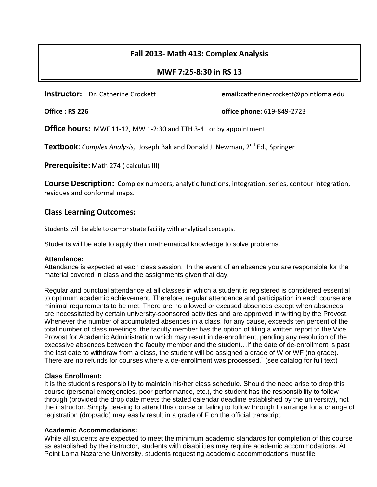# **Fall 2013- Math 413: Complex Analysis**

## **MWF 7:25-8:30 in RS 13**

**Instructor:** Dr. Catherine Crockett **email:**catherinecrockett@pointloma.edu

**Office : RS 226 office phone:** 619-849-2723

**Office hours:** MWF 11-12, MW 1-2:30 and TTH 3-4 or by appointment

**Textbook:** *Complex Analysis, Joseph Bak and Donald J. Newman, 2<sup>nd</sup> Ed., Springer* 

**Prerequisite:** Math 274 ( calculus III)

**Course Description:** Complex numbers, analytic functions, integration, series, contour integration, residues and conformal maps.

# **Class Learning Outcomes:**

Students will be able to demonstrate facility with analytical concepts.

Students will be able to apply their mathematical knowledge to solve problems.

### **Attendance:**

Attendance is expected at each class session. In the event of an absence you are responsible for the material covered in class and the assignments given that day.

Regular and punctual attendance at all classes in which a student is registered is considered essential to optimum academic achievement. Therefore, regular attendance and participation in each course are minimal requirements to be met. There are no allowed or excused absences except when absences are necessitated by certain university-sponsored activities and are approved in writing by the Provost. Whenever the number of accumulated absences in a class, for any cause, exceeds ten percent of the total number of class meetings, the faculty member has the option of filing a written report to the Vice Provost for Academic Administration which may result in de-enrollment, pending any resolution of the excessive absences between the faculty member and the student…If the date of de-enrollment is past the last date to withdraw from a class, the student will be assigned a grade of W or WF (no grade). There are no refunds for courses where a de-enrollment was processed." (see catalog for full text)

### **Class Enrollment:**

It is the student's responsibility to maintain his/her class schedule. Should the need arise to drop this course (personal emergencies, poor performance, etc.), the student has the responsibility to follow through (provided the drop date meets the stated calendar deadline established by the university), not the instructor. Simply ceasing to attend this course or failing to follow through to arrange for a change of registration (drop/add) may easily result in a grade of F on the official transcript.

## **Academic Accommodations:**

While all students are expected to meet the minimum academic standards for completion of this course as established by the instructor, students with disabilities may require academic accommodations. At Point Loma Nazarene University, students requesting academic accommodations must file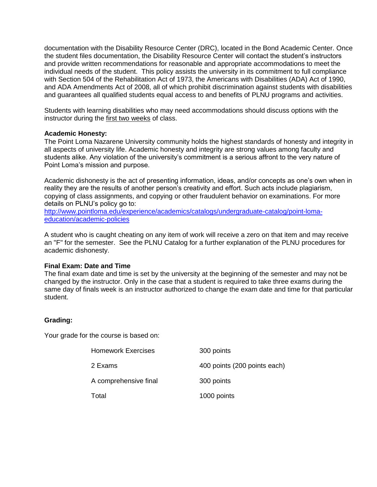documentation with the Disability Resource Center (DRC), located in the Bond Academic Center. Once the student files documentation, the Disability Resource Center will contact the student's instructors and provide written recommendations for reasonable and appropriate accommodations to meet the individual needs of the student. This policy assists the university in its commitment to full compliance with Section 504 of the Rehabilitation Act of 1973, the Americans with Disabilities (ADA) Act of 1990, and ADA Amendments Act of 2008, all of which prohibit discrimination against students with disabilities and guarantees all qualified students equal access to and benefits of PLNU programs and activities.

Students with learning disabilities who may need accommodations should discuss options with the instructor during the first two weeks of class.

#### **Academic Honesty:**

The Point Loma Nazarene University community holds the highest standards of honesty and integrity in all aspects of university life. Academic honesty and integrity are strong values among faculty and students alike. Any violation of the university's commitment is a serious affront to the very nature of Point Loma's mission and purpose.

Academic dishonesty is the act of presenting information, ideas, and/or concepts as one's own when in reality they are the results of another person's creativity and effort. Such acts include plagiarism, copying of class assignments, and copying or other fraudulent behavior on examinations. For more details on PLNU's policy go to:

[http://www.pointloma.edu/experience/academics/catalogs/undergraduate-catalog/point-loma](http://www.pointloma.edu/experience/academics/catalogs/undergraduate-catalog/point-loma-education/academic-policies)[education/academic-policies](http://www.pointloma.edu/experience/academics/catalogs/undergraduate-catalog/point-loma-education/academic-policies)

A student who is caught cheating on any item of work will receive a zero on that item and may receive an "F" for the semester. See the PLNU Catalog for a further explanation of the PLNU procedures for academic dishonesty.

#### **Final Exam: Date and Time**

The final exam date and time is set by the university at the beginning of the semester and may not be changed by the instructor. Only in the case that a student is required to take three exams during the same day of finals week is an instructor authorized to change the exam date and time for that particular student.

#### **Grading:**

Your grade for the course is based on:

| <b>Homework Exercises</b> | 300 points                   |
|---------------------------|------------------------------|
| 2 Exams                   | 400 points (200 points each) |
| A comprehensive final     | 300 points                   |
| Total                     | 1000 points                  |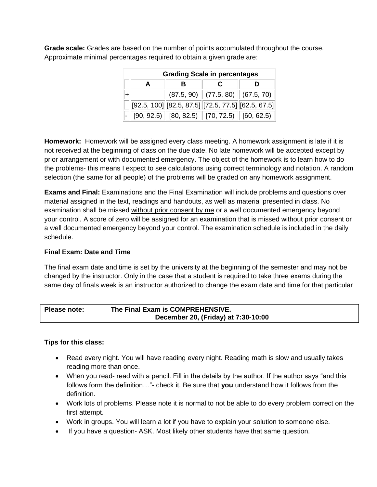**Grade scale:** Grades are based on the number of points accumulated throughout the course. Approximate minimal percentages required to obtain a given grade are:

| <b>Grading Scale in percentages</b> |   |  |                                                                                                                                    |  |  |
|-------------------------------------|---|--|------------------------------------------------------------------------------------------------------------------------------------|--|--|
|                                     | в |  |                                                                                                                                    |  |  |
|                                     |   |  | $(87.5, 90)$ $(77.5, 80)$ $(67.5, 70)$                                                                                             |  |  |
|                                     |   |  | $[92.5, 100]$ $[82.5, 87.5]$ $[72.5, 77.5]$ $[62.5, 67.5]$                                                                         |  |  |
|                                     |   |  | $\overline{\phantom{0}}$ - $\parallel$ [90, 92.5) $\parallel$ [80, 82.5) $\parallel$ [70, 72.5) $\parallel$ [60, 62.5) $\parallel$ |  |  |

**Homework:** Homework will be assigned every class meeting. A homework assignment is late if it is not received at the beginning of class on the due date. No late homework will be accepted except by prior arrangement or with documented emergency. The object of the homework is to learn how to do the problems- this means I expect to see calculations using correct terminology and notation. A random selection (the same for all people) of the problems will be graded on any homework assignment.

**Exams and Final:** Examinations and the Final Examination will include problems and questions over material assigned in the text, readings and handouts, as well as material presented in class. No examination shall be missed without prior consent by me or a well documented emergency beyond your control. A score of zero will be assigned for an examination that is missed without prior consent or a well documented emergency beyond your control. The examination schedule is included in the daily schedule.

## **Final Exam: Date and Time**

The final exam date and time is set by the university at the beginning of the semester and may not be changed by the instructor. Only in the case that a student is required to take three exams during the same day of finals week is an instructor authorized to change the exam date and time for that particular

| Please note: | The Final Exam is COMPREHENSIVE.    |
|--------------|-------------------------------------|
|              | December 20, (Friday) at 7:30-10:00 |

## **Tips for this class:**

- Read every night. You will have reading every night. Reading math is slow and usually takes reading more than once.
- When you read- read with a pencil. Fill in the details by the author. If the author says "and this follows form the definition…"- check it. Be sure that **you** understand how it follows from the definition.
- Work lots of problems. Please note it is normal to not be able to do every problem correct on the first attempt.
- Work in groups. You will learn a lot if you have to explain your solution to someone else.
- If you have a question- ASK. Most likely other students have that same question.